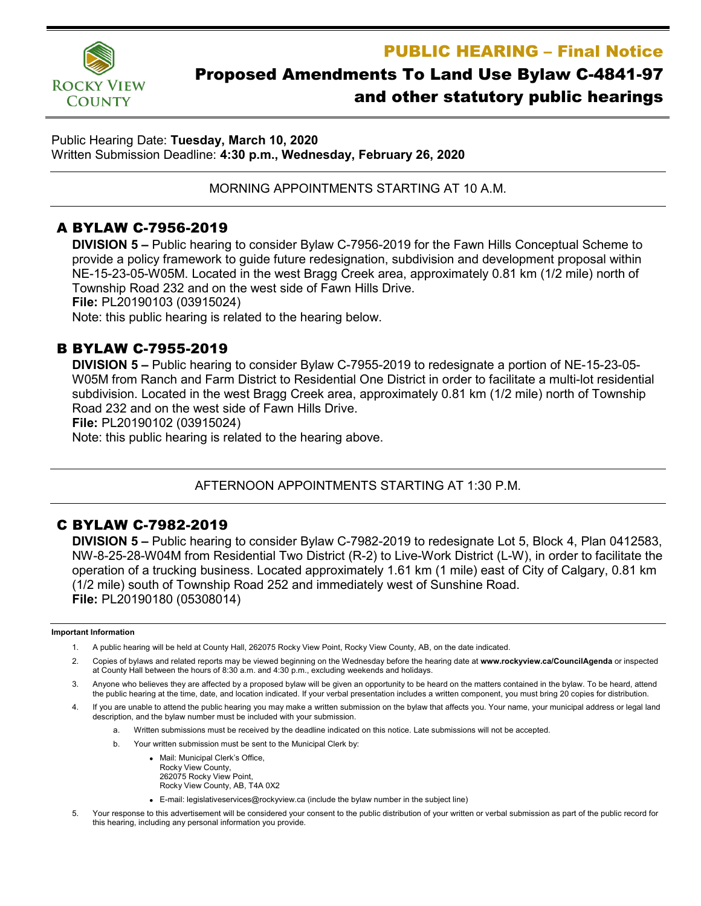PUBLIC HEARING – Final Notice



# Proposed Amendments To Land Use Bylaw C-4841-97 and other statutory public hearings

Public Hearing Date: **Tuesday, March 10, 2020** Written Submission Deadline: **4:30 p.m., Wednesday, February 26, 2020**

MORNING APPOINTMENTS STARTING AT 10 A.M.

# A BYLAW C-7956-2019

**DIVISION 5 –** Public hearing to consider Bylaw C-7956-2019 for the Fawn Hills Conceptual Scheme to provide a policy framework to guide future redesignation, subdivision and development proposal within NE-15-23-05-W05M. Located in the west Bragg Creek area, approximately 0.81 km (1/2 mile) north of Township Road 232 and on the west side of Fawn Hills Drive.

**File:** PL20190103 (03915024)

Note: this public hearing is related to the hearing below.

# B BYLAW C-7955-2019

**DIVISION 5 –** Public hearing to consider Bylaw C-7955-2019 to redesignate a portion of NE-15-23-05- W05M from Ranch and Farm District to Residential One District in order to facilitate a multi-lot residential subdivision. Located in the west Bragg Creek area, approximately 0.81 km (1/2 mile) north of Township Road 232 and on the west side of Fawn Hills Drive.

**File:** PL20190102 (03915024)

Note: this public hearing is related to the hearing above.

### AFTERNOON APPOINTMENTS STARTING AT 1:30 P.M.

# C BYLAW C-7982-2019

**DIVISION 5 –** Public hearing to consider Bylaw C-7982-2019 to redesignate Lot 5, Block 4, Plan 0412583, NW-8-25-28-W04M from Residential Two District (R-2) to Live-Work District (L-W), in order to facilitate the operation of a trucking business. Located approximately 1.61 km (1 mile) east of City of Calgary, 0.81 km (1/2 mile) south of Township Road 252 and immediately west of Sunshine Road. **File:** PL20190180 (05308014)

#### **Important Information**

- 1. A public hearing will be held at County Hall, 262075 Rocky View Point, Rocky View County, AB, on the date indicated.
- 2. Copies of bylaws and related reports may be viewed beginning on the Wednesday before the hearing date at **www.rockyview.ca/CouncilAgenda** or inspected at County Hall between the hours of 8:30 a.m. and 4:30 p.m., excluding weekends and holidays.
- 3. Anyone who believes they are affected by a proposed bylaw will be given an opportunity to be heard on the matters contained in the bylaw. To be heard, attend the public hearing at the time, date, and location indicated. If your verbal presentation includes a written component, you must bring 20 copies for distribution.
- 4. If you are unable to attend the public hearing you may make a written submission on the bylaw that affects you. Your name, your municipal address or legal land description, and the bylaw number must be included with your submission.
	- a. Written submissions must be received by the deadline indicated on this notice. Late submissions will not be accepted.
	- b. Your written submission must be sent to the Municipal Clerk by:
		- Mail: Municipal Clerk's Office, Rocky View County, 262075 Rocky View Point, Rocky View County, AB, T4A 0X2
		- E-mail: legislativeservices@rockyview.ca (include the bylaw number in the subject line)
- 5. Your response to this advertisement will be considered your consent to the public distribution of your written or verbal submission as part of the public record for this hearing, including any personal information you provide.